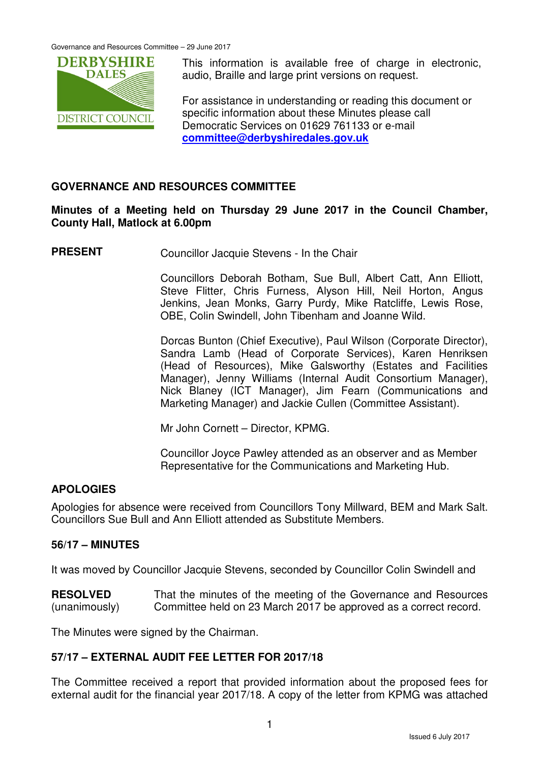

This information is available free of charge in electronic, audio, Braille and large print versions on request.

For assistance in understanding or reading this document or specific information about these Minutes please call Democratic Services on 01629 761133 or e-mail **committee@derbyshiredales.gov.uk**

### **GOVERNANCE AND RESOURCES COMMITTEE**

### **Minutes of a Meeting held on Thursday 29 June 2017 in the Council Chamber, County Hall, Matlock at 6.00pm**

**PRESENT** Councillor Jacquie Stevens - In the Chair

 Councillors Deborah Botham, Sue Bull, Albert Catt, Ann Elliott, Steve Flitter, Chris Furness, Alyson Hill, Neil Horton, Angus Jenkins, Jean Monks, Garry Purdy, Mike Ratcliffe, Lewis Rose, OBE, Colin Swindell, John Tibenham and Joanne Wild.

 Dorcas Bunton (Chief Executive), Paul Wilson (Corporate Director), Sandra Lamb (Head of Corporate Services), Karen Henriksen (Head of Resources), Mike Galsworthy (Estates and Facilities Manager), Jenny Williams (Internal Audit Consortium Manager), Nick Blaney (ICT Manager), Jim Fearn (Communications and Marketing Manager) and Jackie Cullen (Committee Assistant).

Mr John Cornett – Director, KPMG.

Councillor Joyce Pawley attended as an observer and as Member Representative for the Communications and Marketing Hub.

### **APOLOGIES**

Apologies for absence were received from Councillors Tony Millward, BEM and Mark Salt. Councillors Sue Bull and Ann Elliott attended as Substitute Members.

### **56/17 – MINUTES**

It was moved by Councillor Jacquie Stevens, seconded by Councillor Colin Swindell and

**RESOLVED** (unanimously) That the minutes of the meeting of the Governance and Resources Committee held on 23 March 2017 be approved as a correct record.

The Minutes were signed by the Chairman.

## **57/17 – EXTERNAL AUDIT FEE LETTER FOR 2017/18**

The Committee received a report that provided information about the proposed fees for external audit for the financial year 2017/18. A copy of the letter from KPMG was attached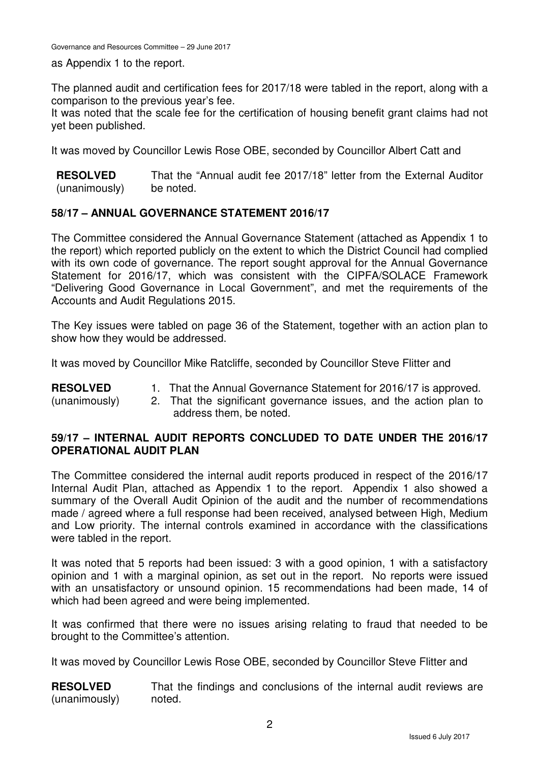as Appendix 1 to the report.

The planned audit and certification fees for 2017/18 were tabled in the report, along with a comparison to the previous year's fee.

It was noted that the scale fee for the certification of housing benefit grant claims had not yet been published.

It was moved by Councillor Lewis Rose OBE, seconded by Councillor Albert Catt and

**RESOLVED** (unanimously) That the "Annual audit fee 2017/18" letter from the External Auditor be noted.

## **58/17 – ANNUAL GOVERNANCE STATEMENT 2016/17**

The Committee considered the Annual Governance Statement (attached as Appendix 1 to the report) which reported publicly on the extent to which the District Council had complied with its own code of governance. The report sought approval for the Annual Governance Statement for 2016/17, which was consistent with the CIPFA/SOLACE Framework "Delivering Good Governance in Local Government", and met the requirements of the Accounts and Audit Regulations 2015.

The Key issues were tabled on page 36 of the Statement, together with an action plan to show how they would be addressed.

It was moved by Councillor Mike Ratcliffe, seconded by Councillor Steve Flitter and

**RESOLVED** 1. That the Annual Governance Statement for 2016/17 is approved.

(unanimously)

2. That the significant governance issues, and the action plan to address them, be noted.

## **59/17 – INTERNAL AUDIT REPORTS CONCLUDED TO DATE UNDER THE 2016/17 OPERATIONAL AUDIT PLAN**

The Committee considered the internal audit reports produced in respect of the 2016/17 Internal Audit Plan, attached as Appendix 1 to the report. Appendix 1 also showed a summary of the Overall Audit Opinion of the audit and the number of recommendations made / agreed where a full response had been received, analysed between High, Medium and Low priority. The internal controls examined in accordance with the classifications were tabled in the report.

It was noted that 5 reports had been issued: 3 with a good opinion, 1 with a satisfactory opinion and 1 with a marginal opinion, as set out in the report. No reports were issued with an unsatisfactory or unsound opinion. 15 recommendations had been made, 14 of which had been agreed and were being implemented.

It was confirmed that there were no issues arising relating to fraud that needed to be brought to the Committee's attention.

It was moved by Councillor Lewis Rose OBE, seconded by Councillor Steve Flitter and

**RESOLVED** (unanimously) That the findings and conclusions of the internal audit reviews are noted.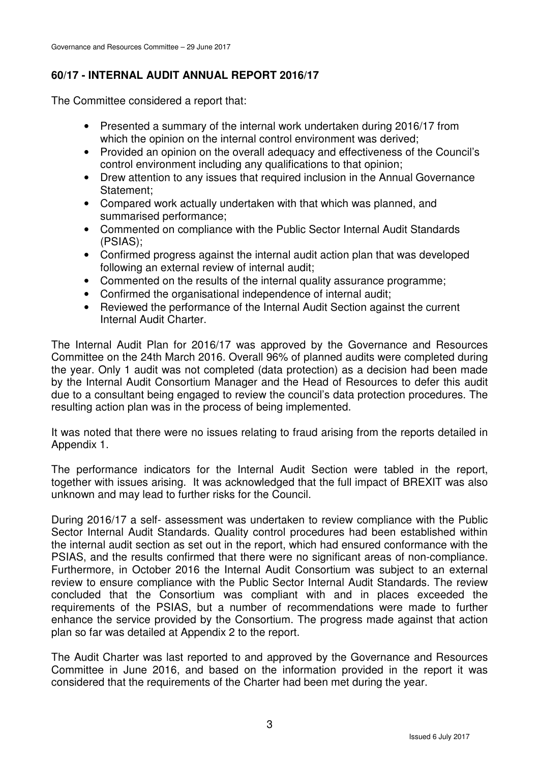# **60/17 - INTERNAL AUDIT ANNUAL REPORT 2016/17**

The Committee considered a report that:

- Presented a summary of the internal work undertaken during 2016/17 from which the opinion on the internal control environment was derived;
- Provided an opinion on the overall adequacy and effectiveness of the Council's control environment including any qualifications to that opinion;
- Drew attention to any issues that required inclusion in the Annual Governance Statement;
- Compared work actually undertaken with that which was planned, and summarised performance;
- Commented on compliance with the Public Sector Internal Audit Standards (PSIAS);
- Confirmed progress against the internal audit action plan that was developed following an external review of internal audit;
- Commented on the results of the internal quality assurance programme;
- Confirmed the organisational independence of internal audit;
- Reviewed the performance of the Internal Audit Section against the current Internal Audit Charter.

The Internal Audit Plan for 2016/17 was approved by the Governance and Resources Committee on the 24th March 2016. Overall 96% of planned audits were completed during the year. Only 1 audit was not completed (data protection) as a decision had been made by the Internal Audit Consortium Manager and the Head of Resources to defer this audit due to a consultant being engaged to review the council's data protection procedures. The resulting action plan was in the process of being implemented.

It was noted that there were no issues relating to fraud arising from the reports detailed in Appendix 1.

The performance indicators for the Internal Audit Section were tabled in the report, together with issues arising. It was acknowledged that the full impact of BREXIT was also unknown and may lead to further risks for the Council.

During 2016/17 a self- assessment was undertaken to review compliance with the Public Sector Internal Audit Standards. Quality control procedures had been established within the internal audit section as set out in the report, which had ensured conformance with the PSIAS, and the results confirmed that there were no significant areas of non-compliance. Furthermore, in October 2016 the Internal Audit Consortium was subject to an external review to ensure compliance with the Public Sector Internal Audit Standards. The review concluded that the Consortium was compliant with and in places exceeded the requirements of the PSIAS, but a number of recommendations were made to further enhance the service provided by the Consortium. The progress made against that action plan so far was detailed at Appendix 2 to the report.

The Audit Charter was last reported to and approved by the Governance and Resources Committee in June 2016, and based on the information provided in the report it was considered that the requirements of the Charter had been met during the year.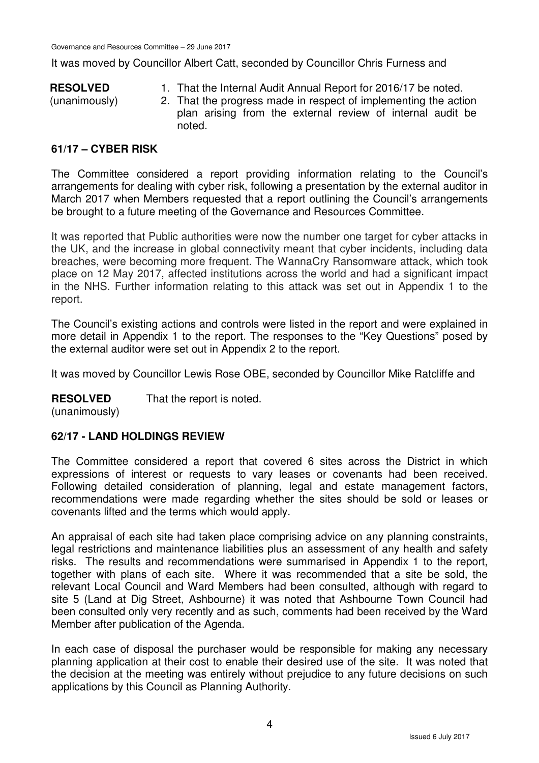It was moved by Councillor Albert Catt, seconded by Councillor Chris Furness and

### **RESOLVED**

(unanimously)

- 1. That the Internal Audit Annual Report for 2016/17 be noted.
- 2. That the progress made in respect of implementing the action plan arising from the external review of internal audit be noted.

## **61/17 – CYBER RISK**

The Committee considered a report providing information relating to the Council's arrangements for dealing with cyber risk, following a presentation by the external auditor in March 2017 when Members requested that a report outlining the Council's arrangements be brought to a future meeting of the Governance and Resources Committee.

It was reported that Public authorities were now the number one target for cyber attacks in the UK, and the increase in global connectivity meant that cyber incidents, including data breaches, were becoming more frequent. The WannaCry Ransomware attack, which took place on 12 May 2017, affected institutions across the world and had a significant impact in the NHS. Further information relating to this attack was set out in Appendix 1 to the report.

The Council's existing actions and controls were listed in the report and were explained in more detail in Appendix 1 to the report. The responses to the "Key Questions" posed by the external auditor were set out in Appendix 2 to the report.

It was moved by Councillor Lewis Rose OBE, seconded by Councillor Mike Ratcliffe and

#### **RESOLVED** That the report is noted.

(unanimously)

## **62/17 - LAND HOLDINGS REVIEW**

The Committee considered a report that covered 6 sites across the District in which expressions of interest or requests to vary leases or covenants had been received. Following detailed consideration of planning, legal and estate management factors, recommendations were made regarding whether the sites should be sold or leases or covenants lifted and the terms which would apply.

An appraisal of each site had taken place comprising advice on any planning constraints, legal restrictions and maintenance liabilities plus an assessment of any health and safety risks. The results and recommendations were summarised in Appendix 1 to the report, together with plans of each site. Where it was recommended that a site be sold, the relevant Local Council and Ward Members had been consulted, although with regard to site 5 (Land at Dig Street, Ashbourne) it was noted that Ashbourne Town Council had been consulted only very recently and as such, comments had been received by the Ward Member after publication of the Agenda.

In each case of disposal the purchaser would be responsible for making any necessary planning application at their cost to enable their desired use of the site. It was noted that the decision at the meeting was entirely without prejudice to any future decisions on such applications by this Council as Planning Authority.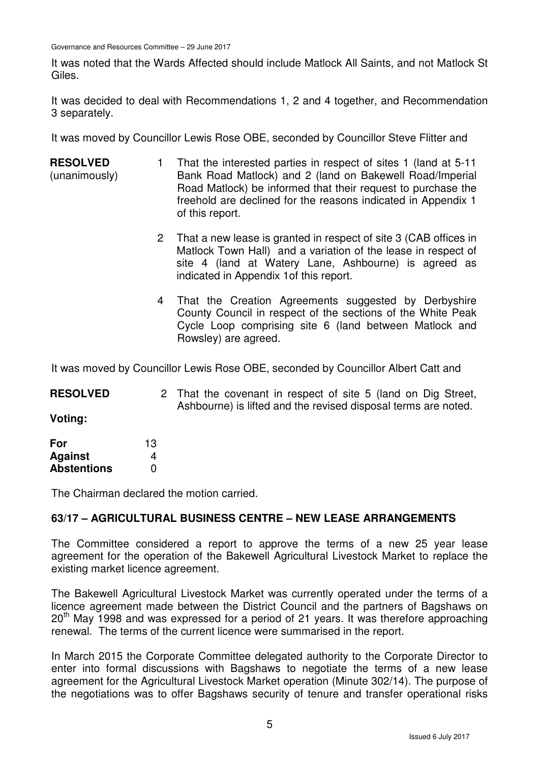Governance and Resources Committee – 29 June 2017

It was noted that the Wards Affected should include Matlock All Saints, and not Matlock St Giles.

It was decided to deal with Recommendations 1, 2 and 4 together, and Recommendation 3 separately.

It was moved by Councillor Lewis Rose OBE, seconded by Councillor Steve Flitter and

- **RESOLVED** (unanimously) 1 That the interested parties in respect of sites 1 (land at 5-11 Bank Road Matlock) and 2 (land on Bakewell Road/Imperial Road Matlock) be informed that their request to purchase the freehold are declined for the reasons indicated in Appendix 1 of this report.
	- 2 That a new lease is granted in respect of site 3 (CAB offices in Matlock Town Hall) and a variation of the lease in respect of site 4 (land at Watery Lane, Ashbourne) is agreed as indicated in Appendix 1of this report.
	- 4 That the Creation Agreements suggested by Derbyshire County Council in respect of the sections of the White Peak Cycle Loop comprising site 6 (land between Matlock and Rowsley) are agreed.

It was moved by Councillor Lewis Rose OBE, seconded by Councillor Albert Catt and

| <b>RESOLVED</b> | 2 That the covenant in respect of site 5 (land on Dig Street,  |
|-----------------|----------------------------------------------------------------|
|                 | Ashbourne) is lifted and the revised disposal terms are noted. |

**Voting:** 

| For                | 13 |
|--------------------|----|
| <b>Against</b>     | 4  |
| <b>Abstentions</b> | O  |

The Chairman declared the motion carried.

## **63/17 – AGRICULTURAL BUSINESS CENTRE – NEW LEASE ARRANGEMENTS**

The Committee considered a report to approve the terms of a new 25 year lease agreement for the operation of the Bakewell Agricultural Livestock Market to replace the existing market licence agreement.

The Bakewell Agricultural Livestock Market was currently operated under the terms of a licence agreement made between the District Council and the partners of Bagshaws on  $20<sup>th</sup>$  May 1998 and was expressed for a period of 21 years. It was therefore approaching renewal. The terms of the current licence were summarised in the report.

In March 2015 the Corporate Committee delegated authority to the Corporate Director to enter into formal discussions with Bagshaws to negotiate the terms of a new lease agreement for the Agricultural Livestock Market operation (Minute 302/14). The purpose of the negotiations was to offer Bagshaws security of tenure and transfer operational risks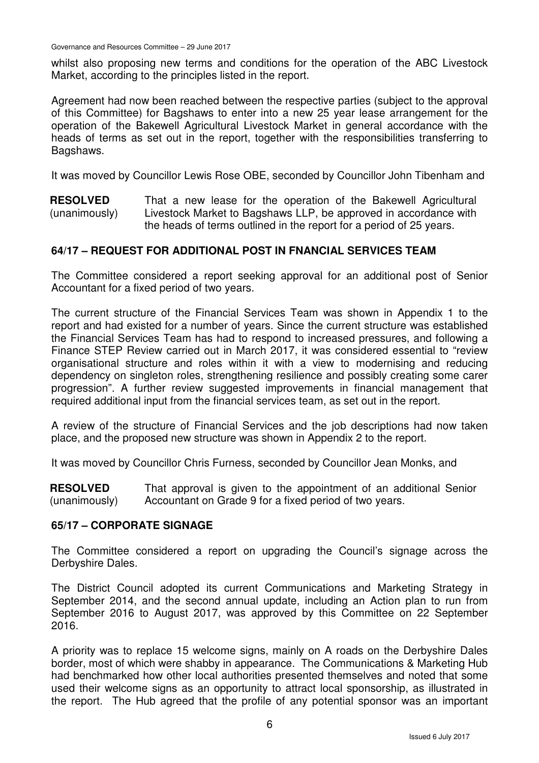whilst also proposing new terms and conditions for the operation of the ABC Livestock Market, according to the principles listed in the report.

Agreement had now been reached between the respective parties (subject to the approval of this Committee) for Bagshaws to enter into a new 25 year lease arrangement for the operation of the Bakewell Agricultural Livestock Market in general accordance with the heads of terms as set out in the report, together with the responsibilities transferring to Bagshaws.

It was moved by Councillor Lewis Rose OBE, seconded by Councillor John Tibenham and

**RESOLVED** (unanimously) That a new lease for the operation of the Bakewell Agricultural Livestock Market to Bagshaws LLP, be approved in accordance with the heads of terms outlined in the report for a period of 25 years.

## **64/17 – REQUEST FOR ADDITIONAL POST IN FNANCIAL SERVICES TEAM**

The Committee considered a report seeking approval for an additional post of Senior Accountant for a fixed period of two years.

The current structure of the Financial Services Team was shown in Appendix 1 to the report and had existed for a number of years. Since the current structure was established the Financial Services Team has had to respond to increased pressures, and following a Finance STEP Review carried out in March 2017, it was considered essential to "review organisational structure and roles within it with a view to modernising and reducing dependency on singleton roles, strengthening resilience and possibly creating some carer progression". A further review suggested improvements in financial management that required additional input from the financial services team, as set out in the report.

A review of the structure of Financial Services and the job descriptions had now taken place, and the proposed new structure was shown in Appendix 2 to the report.

It was moved by Councillor Chris Furness, seconded by Councillor Jean Monks, and

**RESOLVED** (unanimously) That approval is given to the appointment of an additional Senior Accountant on Grade 9 for a fixed period of two years.

### **65/17 – CORPORATE SIGNAGE**

The Committee considered a report on upgrading the Council's signage across the Derbyshire Dales.

The District Council adopted its current Communications and Marketing Strategy in September 2014, and the second annual update, including an Action plan to run from September 2016 to August 2017, was approved by this Committee on 22 September 2016.

A priority was to replace 15 welcome signs, mainly on A roads on the Derbyshire Dales border, most of which were shabby in appearance. The Communications & Marketing Hub had benchmarked how other local authorities presented themselves and noted that some used their welcome signs as an opportunity to attract local sponsorship, as illustrated in the report. The Hub agreed that the profile of any potential sponsor was an important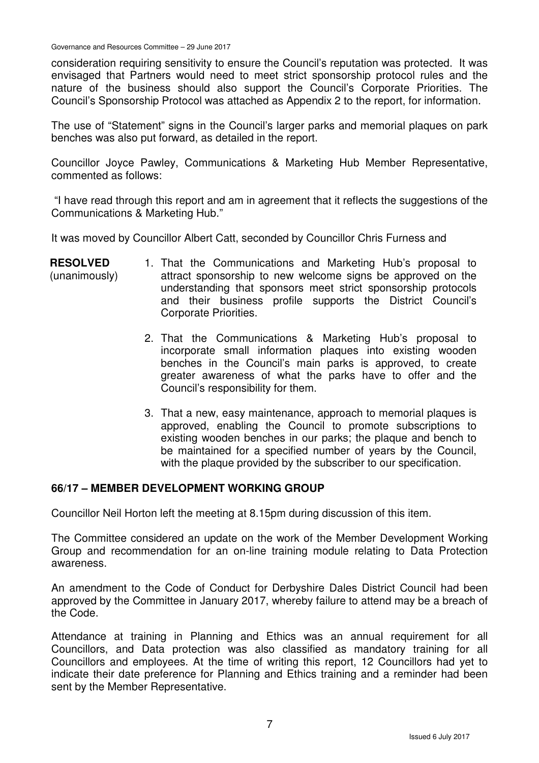Governance and Resources Committee – 29 June 2017

consideration requiring sensitivity to ensure the Council's reputation was protected. It was envisaged that Partners would need to meet strict sponsorship protocol rules and the nature of the business should also support the Council's Corporate Priorities. The Council's Sponsorship Protocol was attached as Appendix 2 to the report, for information.

The use of "Statement" signs in the Council's larger parks and memorial plaques on park benches was also put forward, as detailed in the report.

Councillor Joyce Pawley, Communications & Marketing Hub Member Representative, commented as follows:

 "I have read through this report and am in agreement that it reflects the suggestions of the Communications & Marketing Hub."

It was moved by Councillor Albert Catt, seconded by Councillor Chris Furness and

| <b>RESOLVED</b> | 1. That the Communications and Marketing Hub's proposal to    |
|-----------------|---------------------------------------------------------------|
| (unanimously)   | attract sponsorship to new welcome signs be approved on the   |
|                 | understanding that sponsors meet strict sponsorship protocols |
|                 | and their business profile supports the District Council's    |
|                 | Corporate Priorities.                                         |

- 2. That the Communications & Marketing Hub's proposal to incorporate small information plaques into existing wooden benches in the Council's main parks is approved, to create greater awareness of what the parks have to offer and the Council's responsibility for them.
- 3. That a new, easy maintenance, approach to memorial plaques is approved, enabling the Council to promote subscriptions to existing wooden benches in our parks; the plaque and bench to be maintained for a specified number of years by the Council, with the plaque provided by the subscriber to our specification.

### **66/17 – MEMBER DEVELOPMENT WORKING GROUP**

Councillor Neil Horton left the meeting at 8.15pm during discussion of this item.

The Committee considered an update on the work of the Member Development Working Group and recommendation for an on-line training module relating to Data Protection awareness.

An amendment to the Code of Conduct for Derbyshire Dales District Council had been approved by the Committee in January 2017, whereby failure to attend may be a breach of the Code.

Attendance at training in Planning and Ethics was an annual requirement for all Councillors, and Data protection was also classified as mandatory training for all Councillors and employees. At the time of writing this report, 12 Councillors had yet to indicate their date preference for Planning and Ethics training and a reminder had been sent by the Member Representative.